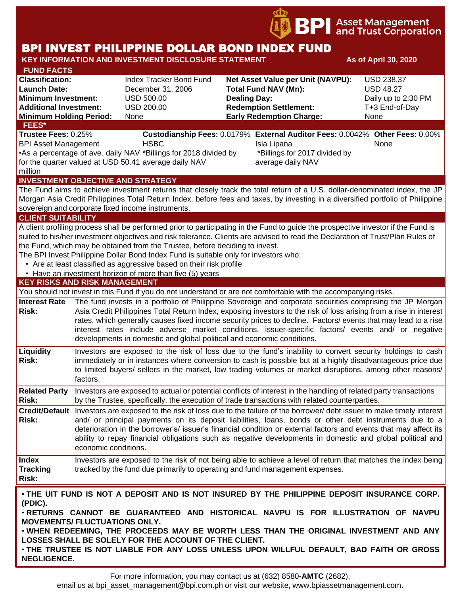

# BPI INVEST PHILIPPINE DOLLAR BOND INDEX FUND

#### **KEY INFORMATION AND INVESTMENT DISCLOSURE STATEMENT And As of April 30, 2020 FUND FACTS Classification:** Index Tracker Bond Fund **Net Asset Value per Unit (NAVPU):** USD 238.37 **Launch Date:** December 31, 2006 **Total Fund NAV (Mn):** USD 48.27 **Minimum Investment:** USD 500.00 **Dealing Day:** Dealing Day: Daily up to 2:30 PM **Additional Investment:** USD 200.00 **Redemption Settlement:** T+3 End-of-Day **Minimum Holding Period:** None **Early Redemption Charge:** None **KEY RISKS AND RISK MANAGEMENT**  You should not invest in this Fund if you do not understand or are not comfortable with the accompanying risks. **Interest Rate**  The fund invests in a portfolio of Philippine Sovereign and corporate securities comprising the JP Morgan **Risk:** Asia Credit Philippines Total Return Index, exposing investors to the risk of loss arising from a rise in interest rates, which generally causes fixed income security prices to decline. Factors/ events that may lead to a rise interest rates include adverse market conditions, issuer-specific factors/ events and/ or negative developments in domestic and global political and economic conditions. **Liquidity Risk:** Investors are exposed to the risk of loss due to the fund's inability to convert security holdings to cash immediately or in instances where conversion to cash is possible but at a highly disadvantageous price due to limited buyers/ sellers in the market, low trading volumes or market disruptions, among other reasons/ factors. **Related Party**  Investors are exposed to actual or potential conflicts of interest in the handling of related party transactions **Risk:** by the Trustee, specifically, the execution of trade transactions with related counterparties. **Credit/Default**  Investors are exposed to the risk of loss due to the failure of the borrower/ debt issuer to make timely interest **Risk:** and/ or principal payments on its deposit liabilities, loans, bonds or other debt instruments due to a deterioration in the borrower's/ issuer's financial condition or external factors and events that may affect its ability to repay financial obligations such as negative developments in domestic and global political and economic conditions. **Index Tracking Risk:** Investors are exposed to the risk of not being able to achieve a level of return that matches the index being tracked by the fund due primarily to operating and fund management expenses. **INVESTMENT OBJECTIVE AND STRATEGY** The Fund aims to achieve investment returns that closely track the total return of a U.S. dollar-denominated index, the JP Morgan Asia Credit Philippines Total Return Index, before fees and taxes, by investing in a diversified portfolio of Philippine sovereign and corporate fixed income instruments. **CLIENT SUITABILITY** A client profiling process shall be performed prior to participating in the Fund to guide the prospective investor if the Fund is suited to his/her investment objectives and risk tolerance. Clients are advised to read the Declaration of Trust/Plan Rules of the Fund, which may be obtained from the Trustee, before deciding to invest. The BPI Invest Philippine Dollar Bond Index Fund is suitable only for investors who: • Are at least classified as aggressive based on their risk profile • Have an investment horizon of more than five (5) years **FEES\* Trustee Fees:** 0.25% **Custodianship Fees:** 0.0179% **External Auditor Fees:** 0.0042% **Other Fees:** 0.00% BPI Asset Management **HSBC Isla Lipana** Isla Lipana None •As a percentage of ave. daily NAV \*Billings for 2018 divided by for the quarter valued at USD 50.41 average daily NAV million \*Billings for 2017 divided by average daily NAV

• **THE UIT FUND IS NOT A DEPOSIT AND IS NOT INSURED BY THE PHILIPPINE DEPOSIT INSURANCE CORP. (PDIC).**

• **RETURNS CANNOT BE GUARANTEED AND HISTORICAL NAVPU IS FOR ILLUSTRATION OF NAVPU MOVEMENTS/ FLUCTUATIONS ONLY.**

• **WHEN REDEEMING, THE PROCEEDS MAY BE WORTH LESS THAN THE ORIGINAL INVESTMENT AND ANY LOSSES SHALL BE SOLELY FOR THE ACCOUNT OF THE CLIENT.**

• **THE TRUSTEE IS NOT LIABLE FOR ANY LOSS UNLESS UPON WILLFUL DEFAULT, BAD FAITH OR GROSS NEGLIGENCE.**

email us at bpi asset management@bpi.com.ph or visit our website, www.bpiassetmanagement.com.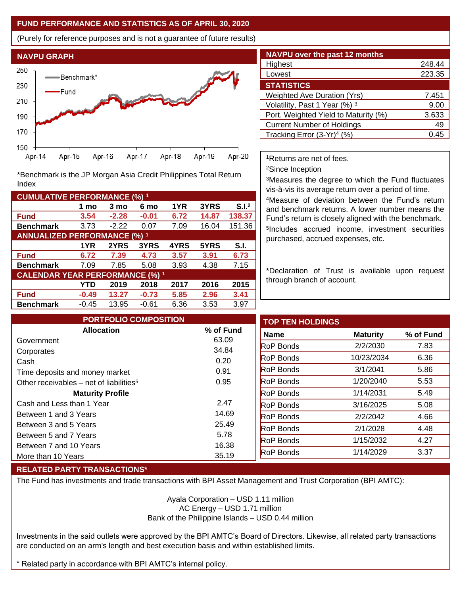#### **FUND PERFORMANCE AND STATISTICS AS OF APRIL 30, 2020**

(Purely for reference purposes and is not a guarantee of future results)



**Fund 3.54 -2.28 -0.01 6.72 14.87 138.37 Benchmark** 3.73 -2.22 0.07 7.09 16.04 151.36

\*Benchmark is the JP Morgan Asia Credit Philippines Total Return

**Fund 6.72 7.39 4.73 3.57 3.91 6.73 Benchmark** 7.09 7.85 5.08 3.93 4.38 7.15

**Fund -0.49 13.27 -0.73 5.85 2.96 3.41 Benchmark** -0.45 13.95 -0.61 6.36 3.53 3.97

**1 mo 3 mo 6 mo 1YR 3YRS S.I.<sup>2</sup>**

**1YR 2YRS 3YRS 4YRS 5YRS S.I.**

**YTD 2019 2018 2017 2016 2015**

| <b>NAVPU over the past 12 months</b>   |        |
|----------------------------------------|--------|
| Highest                                | 248.44 |
| Lowest                                 | 223.35 |
| <b>STATISTICS</b>                      |        |
| <b>Weighted Ave Duration (Yrs)</b>     | 7.451  |
| Volatility, Past 1 Year (%) 3          | 9.00   |
| Port. Weighted Yield to Maturity (%)   | 3.633  |
| <b>Current Number of Holdings</b>      | 49     |
| Tracking Error (3-Yr) <sup>4</sup> (%) | 0.45   |

<sup>1</sup>Returns are net of fees.

<sup>2</sup>Since Inception

<sup>3</sup>Measures the degree to which the Fund fluctuates vis-à-vis its average return over a period of time.

<sup>4</sup>Measure of deviation between the Fund's return and benchmark returns. A lower number means the Fund's return is closely aligned with the benchmark. 5 Includes accrued income, investment securities purchased, accrued expenses, etc.

\*Declaration of Trust is available upon request through branch of account.

| <b>PORTFOLIO COMPOSITION</b>                        |              | <b>TOP TEN HOLDINGS</b> |                 |           |
|-----------------------------------------------------|--------------|-------------------------|-----------------|-----------|
| <b>Allocation</b>                                   | % of Fund    | <b>Name</b>             | <b>Maturity</b> | % of Fund |
| Government                                          | 63.09        | <b>RoP</b> Bonds        | 2/2/2030        |           |
| Corporates                                          | 34.84        | <b>RoP</b> Bonds        | 10/23/2034      |           |
| Cash<br>Time deposits and money market              | 0.20<br>0.91 | <b>RoP</b> Bonds        | 3/1/2041        |           |
| Other receivables – net of liabilities <sup>5</sup> | 0.95         | <b>RoP</b> Bonds        | 1/20/2040       |           |
| <b>Maturity Profile</b>                             |              | <b>RoP</b> Bonds        | 1/14/2031       |           |
| Cash and Less than 1 Year                           | 2.47         | <b>RoP</b> Bonds        | 3/16/2025       |           |
| Between 1 and 3 Years                               | 14.69        | <b>RoP Bonds</b>        | 2/2/2042        |           |
| Between 3 and 5 Years                               | 25.49        | <b>RoP</b> Bonds        | 2/1/2028        |           |
| Between 5 and 7 Years                               | 5.78         | <b>RoP</b> Bonds        | 1/15/2032       |           |
| Between 7 and 10 Years                              | 16.38        | RoP Bonds               | 1/14/2029       |           |
| More than 10 Years                                  | 35.19        |                         |                 |           |

## **RELATED PARTY TRANSACTIONS\***

**CUMULATIVE PERFORMANCE (%) <sup>1</sup>**

Index

**ANNUALIZED PERFORMANCE (%) <sup>1</sup>**

**CALENDAR YEAR PERFORMANCE (%) <sup>1</sup>**

The Fund has investments and trade transactions with BPI Asset Management and Trust Corporation (BPI AMTC):

Ayala Corporation – USD 1.11 million AC Energy – USD 1.71 million Bank of the Philippine Islands – USD 0.44 million

Investments in the said outlets were approved by the BPI AMTC's Board of Directors. Likewise, all related party transactions are conducted on an arm's length and best execution basis and within established limits.

\* Related party in accordance with BPI AMTC's internal policy.